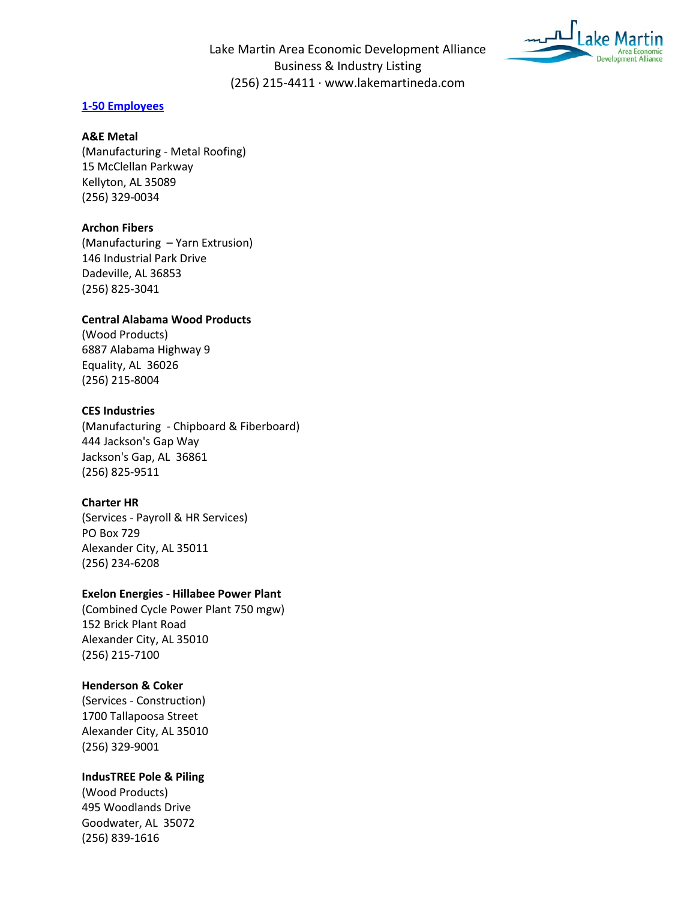

# **1-50 Employees**

### **A&E Metal**

(Manufacturing - Metal Roofing) 15 McClellan Parkway Kellyton, AL 35089 (256) 329-0034

# **Archon Fibers**

(Manufacturing – Yarn Extrusion) 146 Industrial Park Drive Dadeville, AL 36853 (256) 825-3041

## **Central Alabama Wood Products**

(Wood Products) 6887 Alabama Highway 9 Equality, AL 36026 (256) 215-8004

## **CES Industries**

(Manufacturing - Chipboard & Fiberboard) 444 Jackson's Gap Way Jackson's Gap, AL 36861 (256) 825-9511

# **Charter HR**

(Services - Payroll & HR Services) PO Box 729 Alexander City, AL 35011 (256) 234-6208

#### **Exelon Energies - Hillabee Power Plant**

(Combined Cycle Power Plant 750 mgw) 152 Brick Plant Road Alexander City, AL 35010 (256) 215-7100

# **Henderson & Coker**

(Services - Construction) 1700 Tallapoosa Street Alexander City, AL 35010 (256) 329-9001

#### **IndusTREE Pole & Piling**

(Wood Products) 495 Woodlands Drive Goodwater, AL 35072 (256) 839-1616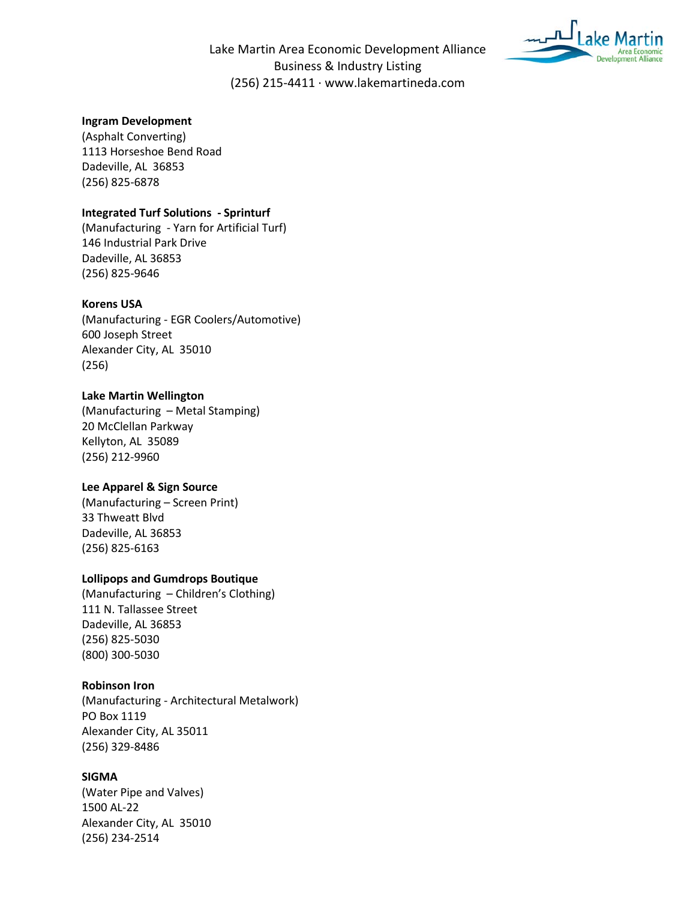

# **Ingram Development**

(Asphalt Converting) 1113 Horseshoe Bend Road Dadeville, AL 36853 (256) 825-6878

### **Integrated Turf Solutions - Sprinturf**

(Manufacturing - Yarn for Artificial Turf) 146 Industrial Park Drive Dadeville, AL 36853 (256) 825-9646

#### **Korens USA**

(Manufacturing - EGR Coolers/Automotive) 600 Joseph Street Alexander City, AL 35010 (256)

#### **Lake Martin Wellington**

(Manufacturing – Metal Stamping) 20 McClellan Parkway Kellyton, AL 35089 (256) 212-9960

# **Lee Apparel & Sign Source**

(Manufacturing – Screen Print) 33 Thweatt Blvd Dadeville, AL 36853 (256) 825-6163

# **Lollipops and Gumdrops Boutique**

(Manufacturing – Children's Clothing) 111 N. Tallassee Street Dadeville, AL 36853 (256) 825-5030 (800) 300-5030

## **Robinson Iron**

(Manufacturing - Architectural Metalwork) PO Box 1119 Alexander City, AL 35011 (256) 329-8486

## **SIGMA**

(Water Pipe and Valves) 1500 AL-22 Alexander City, AL 35010 (256) 234-2514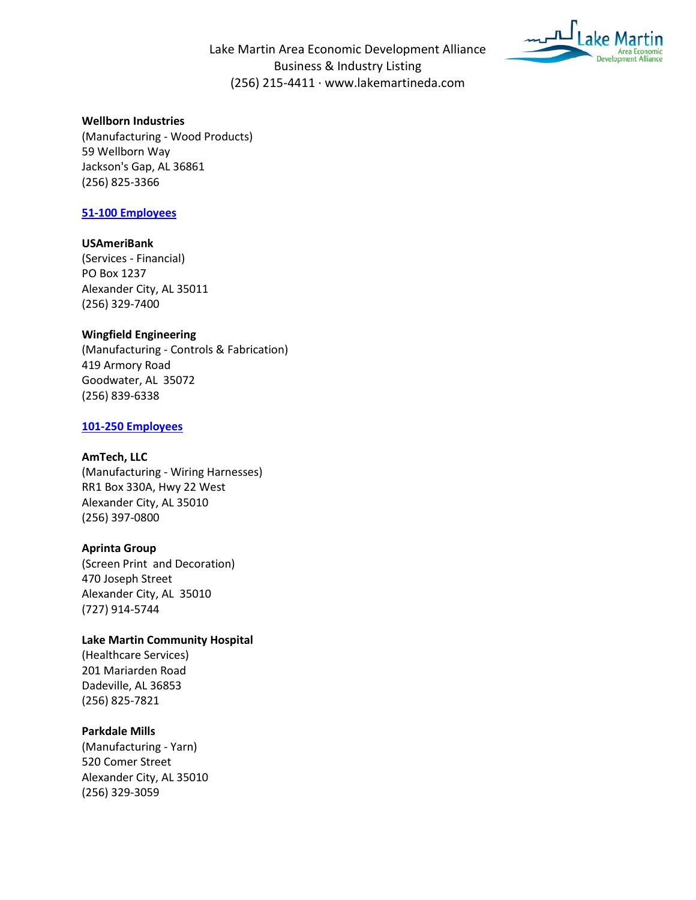

## **Wellborn Industries**

(Manufacturing - Wood Products) 59 Wellborn Way Jackson's Gap, AL 36861 (256) 825-3366

# **51-100 Employees**

### **USAmeriBank**

(Services - Financial) PO Box 1237 Alexander City, AL 35011 (256) 329-7400

## **Wingfield Engineering**

(Manufacturing - Controls & Fabrication) 419 Armory Road Goodwater, AL 35072 (256) 839-6338

### **101-250 Employees**

## **AmTech, LLC**

(Manufacturing - Wiring Harnesses) RR1 Box 330A, Hwy 22 West Alexander City, AL 35010 (256) 397-0800

#### **Aprinta Group**

(Screen Print and Decoration) 470 Joseph Street Alexander City, AL 35010 (727) 914-5744

#### **Lake Martin Community Hospital**

(Healthcare Services) 201 Mariarden Road Dadeville, AL 36853 (256) 825-7821

# **Parkdale Mills**

(Manufacturing - Yarn) 520 Comer Street Alexander City, AL 35010 (256) 329-3059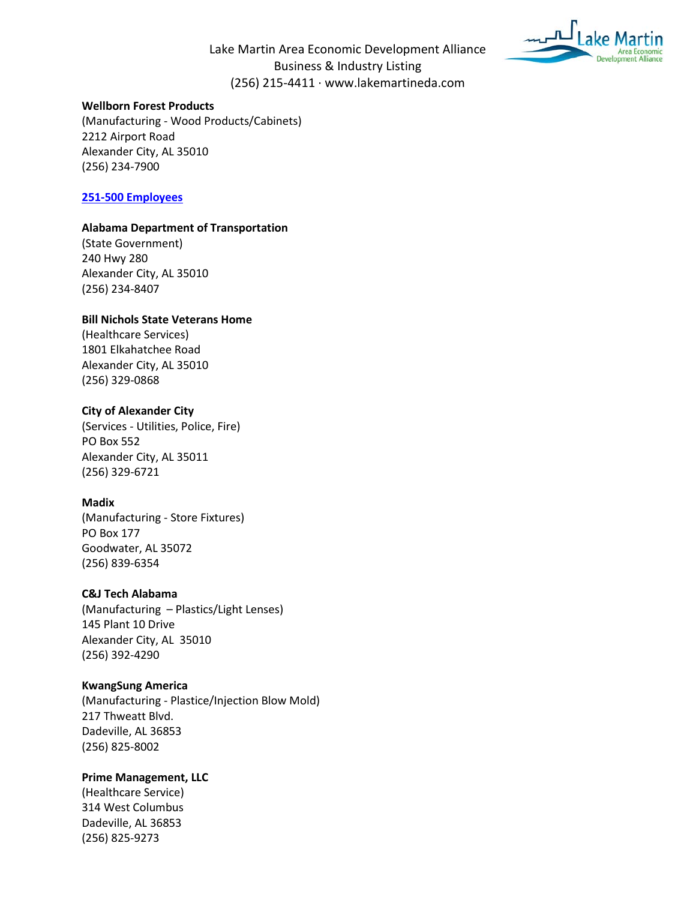



## **Wellborn Forest Products**

(Manufacturing - Wood Products/Cabinets) 2212 Airport Road Alexander City, AL 35010 (256) 234-7900

#### **251-500 Employees**

### **Alabama Department of Transportation**

(State Government) 240 Hwy 280 Alexander City, AL 35010 (256) 234-8407

#### **Bill Nichols State Veterans Home**

(Healthcare Services) 1801 Elkahatchee Road Alexander City, AL 35010 (256) 329-0868

#### **City of Alexander City**

(Services - Utilities, Police, Fire) PO Box 552 Alexander City, AL 35011 (256) 329-6721

### **Madix**

(Manufacturing - Store Fixtures) PO Box 177 Goodwater, AL 35072 (256) 839-6354

#### **C&J Tech Alabama**

(Manufacturing – Plastics/Light Lenses) 145 Plant 10 Drive Alexander City, AL 35010 (256) 392-4290

### **KwangSung America**

(Manufacturing - Plastice/Injection Blow Mold) 217 Thweatt Blvd. Dadeville, AL 36853 (256) 825-8002

## **Prime Management, LLC**

(Healthcare Service) 314 West Columbus Dadeville, AL 36853 (256) 825-9273